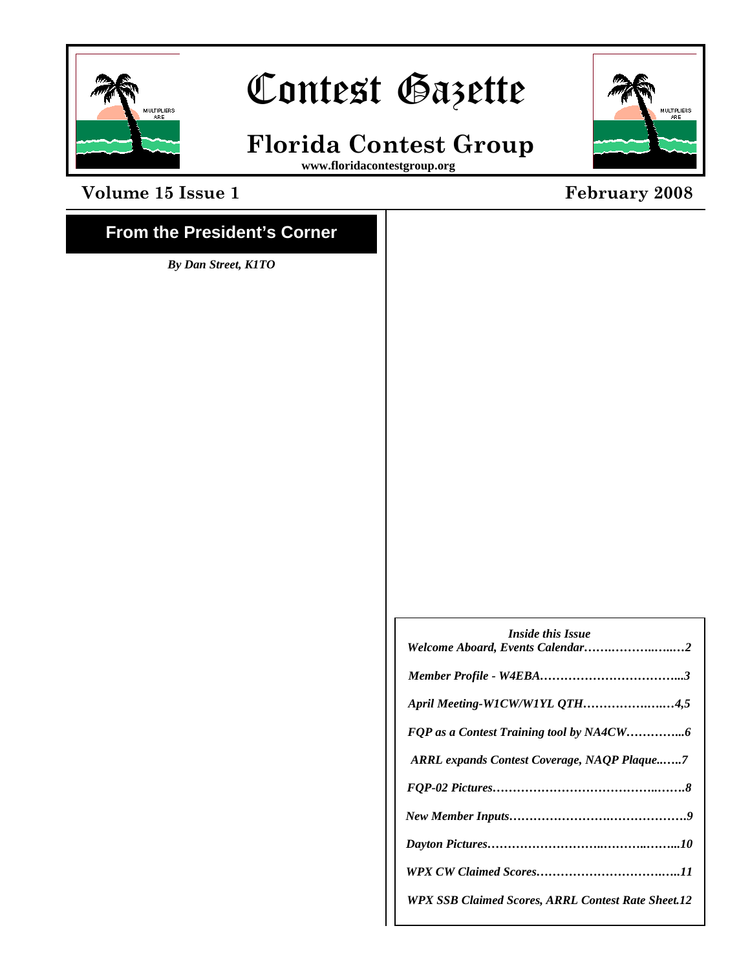

## Contest Gazette

## **Florida Contest Group**

**www.floridacontestgroup.org** 

## **Volume 15 Issue 1** February 2008

# **From the President's Corner**  *By Dan Street, K1TO Inside this Issue Welcome Aboard, Events Calendar…….………..…..…2 Member Profile - W4EBA……………………………...3 April Meeting-W1CW/W1YL QTH…………….….…4,5 FQP as a Contest Training tool by NA4CW…………...6 ARRL expands Contest Coverage, NAQP Plaque..…..7 FQP-02 Pictures…………………………………..…….8 New Member Inputs…………………….……………….9 Dayton Pictures………………………..………..……...10 WPX CW Claimed Scores………………………….…..11 WPX SSB Claimed Scores, ARRL Contest Rate Sheet.12*

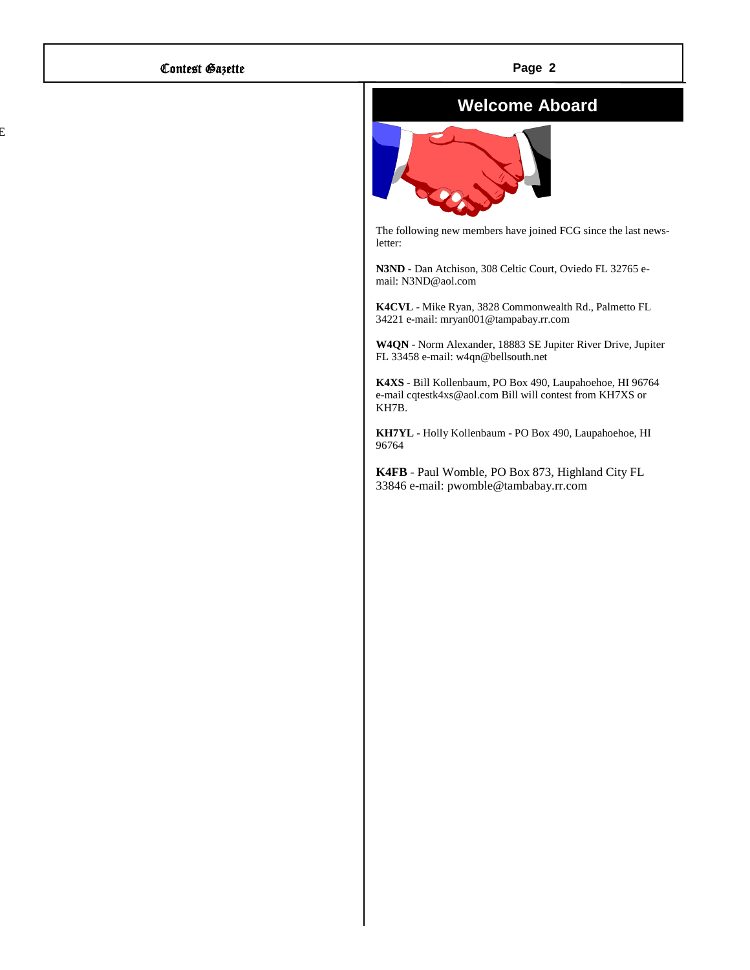E

#### **Welcome Aboard**



The following new members have joined FCG since the last newsletter:

**N3ND -** Dan Atchison, 308 Celtic Court, Oviedo FL 32765 email: N3ND@aol.com

**K4CVL** - Mike Ryan, 3828 Commonwealth Rd., Palmetto FL 34221 e-mail: mryan001@tampabay.rr.com

**W4QN** - Norm Alexander, 18883 SE Jupiter River Drive, Jupiter FL 33458 e-mail: w4qn@bellsouth.net

**K4XS** - Bill Kollenbaum, PO Box 490, Laupahoehoe, HI 96764 e-mail cqtestk4xs@aol.com Bill will contest from KH7XS or KH7B.

**KH7YL** - Holly Kollenbaum - PO Box 490, Laupahoehoe, HI 96764

**K4FB** - Paul Womble, PO Box 873, Highland City FL 33846 e-mail: pwomble@tambabay.rr.com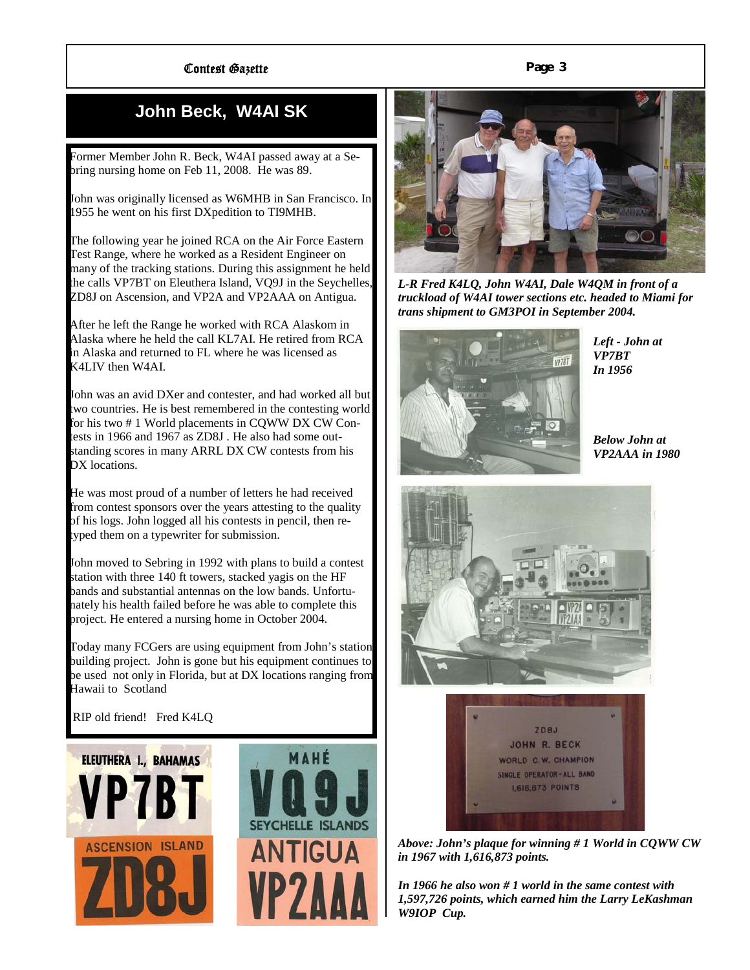### **John Beck, W4AI SK**

Former Member John R. Beck, W4AI passed away at a Sebring nursing home on Feb 11, 2008. He was 89.

John was originally licensed as W6MHB in San Francisco. In 1955 he went on his first DXpedition to TI9MHB.

The following year he joined RCA on the Air Force Eastern Test Range, where he worked as a Resident Engineer on many of the tracking stations. During this assignment he held the calls VP7BT on Eleuthera Island, VQ9J in the Seychelles, ZD8J on Ascension, and VP2A and VP2AAA on Antigua.

After he left the Range he worked with RCA Alaskom in Alaska where he held the call KL7AI. He retired from RCA in Alaska and returned to FL where he was licensed as K4LIV then W4AI.

Iohn was an avid DXer and contester, and had worked all but wo countries. He is best remembered in the contesting world for his two # 1 World placements in CQWW DX CW Contests in 1966 and 1967 as ZD8J . He also had some outstanding scores in many ARRL DX CW contests from his DX locations.

He was most proud of a number of letters he had received from contest sponsors over the years attesting to the quality of his logs. John logged all his contests in pencil, then reyped them on a typewriter for submission.

John moved to Sebring in 1992 with plans to build a contest station with three 140 ft towers, stacked yagis on the HF bands and substantial antennas on the low bands. Unfortunately his health failed before he was able to complete this project. He entered a nursing home in October 2004.

Today many FCGers are using equipment from John's station building project. John is gone but his equipment continues to be used not only in Florida, but at DX locations ranging from Hawaii to Scotland

RIP old friend! Fred K4LQ

I







*L-R Fred K4LQ, John W4AI, Dale W4QM in front of a truckload of W4AI tower sections etc. headed to Miami for trans shipment to GM3POI in September 2004.* 



*Left - John at VP7BT In 1956* 

*Below John at VP2AAA in 1980* 





*Above: John's plaque for winning # 1 World in CQWW CW in 1967 with 1,616,873 points.* 

*In 1966 he also won # 1 world in the same contest with 1,597,726 points, which earned him the Larry LeKashman W9IOP Cup.*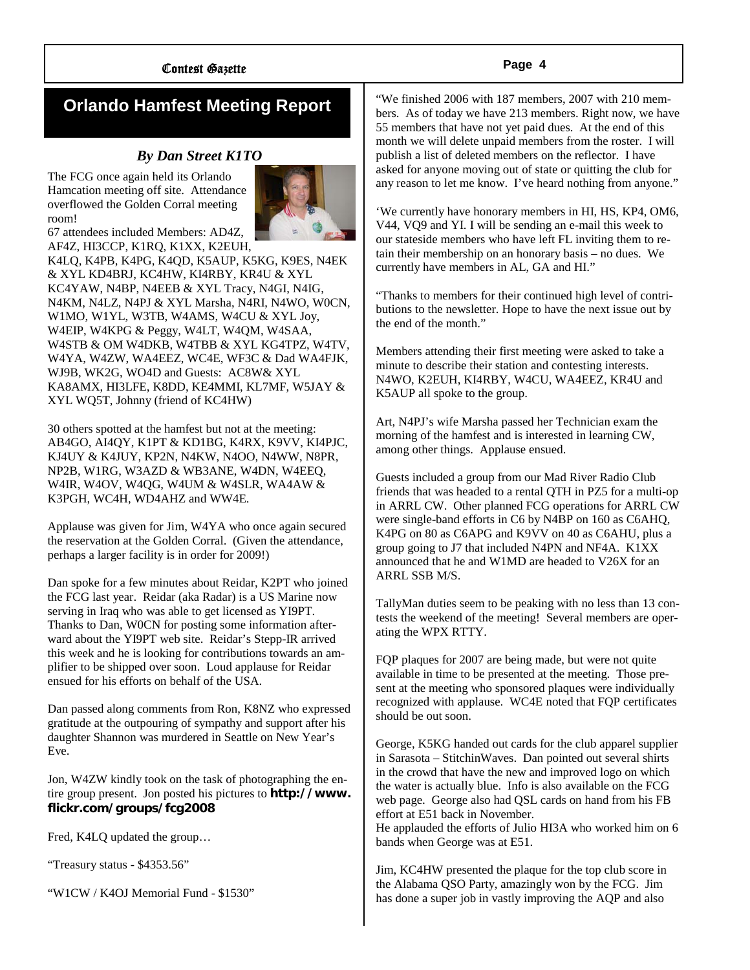## **Orlando Hamfest Meeting Report**

#### *By Dan Street K1TO*

The FCG once again held its Orlando Hamcation meeting off site. Attendance overflowed the Golden Corral meeting room!



67 attendees included Members: AD4Z, AF4Z, HI3CCP, K1RQ, K1XX, K2EUH,

K4LQ, K4PB, K4PG, K4QD, K5AUP, K5KG, K9ES, N4EK & XYL KD4BRJ, KC4HW, KI4RBY, KR4U & XYL KC4YAW, N4BP, N4EEB & XYL Tracy, N4GI, N4IG, N4KM, N4LZ, N4PJ & XYL Marsha, N4RI, N4WO, W0CN, W1MO, W1YL, W3TB, W4AMS, W4CU & XYL Joy, W4EIP, W4KPG & Peggy, W4LT, W4QM, W4SAA, W4STB & OM W4DKB, W4TBB & XYL KG4TPZ, W4TV, W4YA, W4ZW, WA4EEZ, WC4E, WF3C & Dad WA4FJK, WJ9B, WK2G, WO4D and Guests: AC8W& XYL KA8AMX, HI3LFE, K8DD, KE4MMI, KL7MF, W5JAY & XYL WQ5T, Johnny (friend of KC4HW)

30 others spotted at the hamfest but not at the meeting: AB4GO, AI4QY, K1PT & KD1BG, K4RX, K9VV, KI4PJC, KJ4UY & K4JUY, KP2N, N4KW, N4OO, N4WW, N8PR, NP2B, W1RG, W3AZD & WB3ANE, W4DN, W4EEQ, W4IR, W4OV, W4QG, W4UM & W4SLR, WA4AW & K3PGH, WC4H, WD4AHZ and WW4E.

Applause was given for Jim, W4YA who once again secured the reservation at the Golden Corral. (Given the attendance, perhaps a larger facility is in order for 2009!)

Dan spoke for a few minutes about Reidar, K2PT who joined the FCG last year. Reidar (aka Radar) is a US Marine now serving in Iraq who was able to get licensed as YI9PT. Thanks to Dan, W0CN for posting some information afterward about the YI9PT web site. Reidar's Stepp-IR arrived this week and he is looking for contributions towards an amplifier to be shipped over soon. Loud applause for Reidar ensued for his efforts on behalf of the USA.

Dan passed along comments from Ron, K8NZ who expressed gratitude at the outpouring of sympathy and support after his daughter Shannon was murdered in Seattle on New Year's Eve.

Jon, W4ZW kindly took on the task of photographing the entire group present. Jon posted his pictures to **http://www. flickr.com/groups/fcg2008**

Fred, K4LQ updated the group…

"Treasury status - \$4353.56"

"W1CW / K4OJ Memorial Fund - \$1530"

"We finished 2006 with 187 members, 2007 with 210 members. As of today we have 213 members. Right now, we have 55 members that have not yet paid dues. At the end of this month we will delete unpaid members from the roster. I will publish a list of deleted members on the reflector. I have asked for anyone moving out of state or quitting the club for any reason to let me know. I've heard nothing from anyone."

'We currently have honorary members in HI, HS, KP4, OM6, V44, VQ9 and YI. I will be sending an e-mail this week to our stateside members who have left FL inviting them to retain their membership on an honorary basis – no dues. We currently have members in AL, GA and HI."

"Thanks to members for their continued high level of contributions to the newsletter. Hope to have the next issue out by the end of the month."

Members attending their first meeting were asked to take a minute to describe their station and contesting interests. N4WO, K2EUH, KI4RBY, W4CU, WA4EEZ, KR4U and K5AUP all spoke to the group.

Art, N4PJ's wife Marsha passed her Technician exam the morning of the hamfest and is interested in learning CW, among other things. Applause ensued.

Guests included a group from our Mad River Radio Club friends that was headed to a rental QTH in PZ5 for a multi-op in ARRL CW. Other planned FCG operations for ARRL CW were single-band efforts in C6 by N4BP on 160 as C6AHQ, K4PG on 80 as C6APG and K9VV on 40 as C6AHU, plus a group going to J7 that included N4PN and NF4A. K1XX announced that he and W1MD are headed to V26X for an ARRL SSB M/S.

TallyMan duties seem to be peaking with no less than 13 contests the weekend of the meeting! Several members are operating the WPX RTTY.

FQP plaques for 2007 are being made, but were not quite available in time to be presented at the meeting. Those present at the meeting who sponsored plaques were individually recognized with applause. WC4E noted that FQP certificates should be out soon.

George, K5KG handed out cards for the club apparel supplier in Sarasota – StitchinWaves. Dan pointed out several shirts in the crowd that have the new and improved logo on which the water is actually blue. Info is also available on the FCG web page. George also had QSL cards on hand from his FB effort at E51 back in November.

He applauded the efforts of Julio HI3A who worked him on 6 bands when George was at E51.

Jim, KC4HW presented the plaque for the top club score in the Alabama QSO Party, amazingly won by the FCG. Jim has done a super job in vastly improving the AQP and also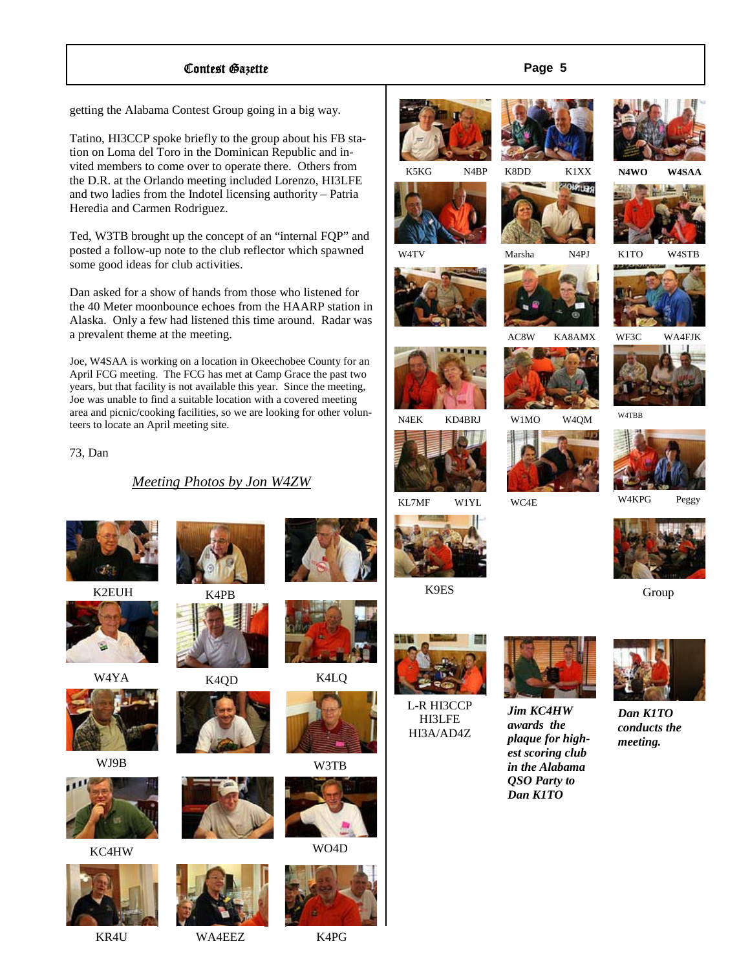getting the Alabama Contest Group going in a big way.

Tatino, HI3CCP spoke briefly to the group about his FB station on Loma del Toro in the Dominican Republic and invited members to come over to operate there. Others from the D.R. at the Orlando meeting included Lorenzo, HI3LFE and two ladies from the Indotel licensing authority – Patria Heredia and Carmen Rodriguez.

Ted, W3TB brought up the concept of an "internal FQP" and posted a follow-up note to the club reflector which spawned some good ideas for club activities.

Dan asked for a show of hands from those who listened for the 40 Meter moonbounce echoes from the HAARP station in Alaska. Only a few had listened this time around. Radar was a prevalent theme at the meeting.

Joe, W4SAA is working on a location in Okeechobee County for an April FCG meeting. The FCG has met at Camp Grace the past two years, but that facility is not available this year. Since the meeting, Joe was unable to find a suitable location with a covered meeting area and picnic/cooking facilities, so we are looking for other volunteers to locate an April meeting site.

73, Dan

#### *Meeting Photos by Jon W4ZW*







WJ9B



KC4HW



KR4U

K2EUH K4PB



W4YA K4LQ K4QD







WO4D



WA4EEZ K4PG



![](_page_4_Picture_29.jpeg)

![](_page_4_Picture_30.jpeg)

![](_page_4_Picture_31.jpeg)

K1TO W4STB

![](_page_4_Picture_34.jpeg)

AC8W KA8AMX

![](_page_4_Picture_36.jpeg)

![](_page_4_Picture_37.jpeg)

**WATRB** 

![](_page_4_Picture_39.jpeg)

![](_page_4_Picture_40.jpeg)

N4EK KD4BRJ W1MO W4QM

KL7MF W1YL WC4E W4KPG Peggy

![](_page_4_Picture_43.jpeg)

Group

K9ES

![](_page_4_Picture_45.jpeg)

L-R HI3CCP HI3LFE HI3A/AD4Z

![](_page_4_Picture_47.jpeg)

*awards the plaque for highest scoring club in the Alabama QSO Party to Dan K1TO* 

![](_page_4_Picture_49.jpeg)

*Dan K1TO conducts the meeting.* 

![](_page_4_Picture_51.jpeg)

![](_page_4_Picture_52.jpeg)

![](_page_4_Picture_53.jpeg)

![](_page_4_Picture_54.jpeg)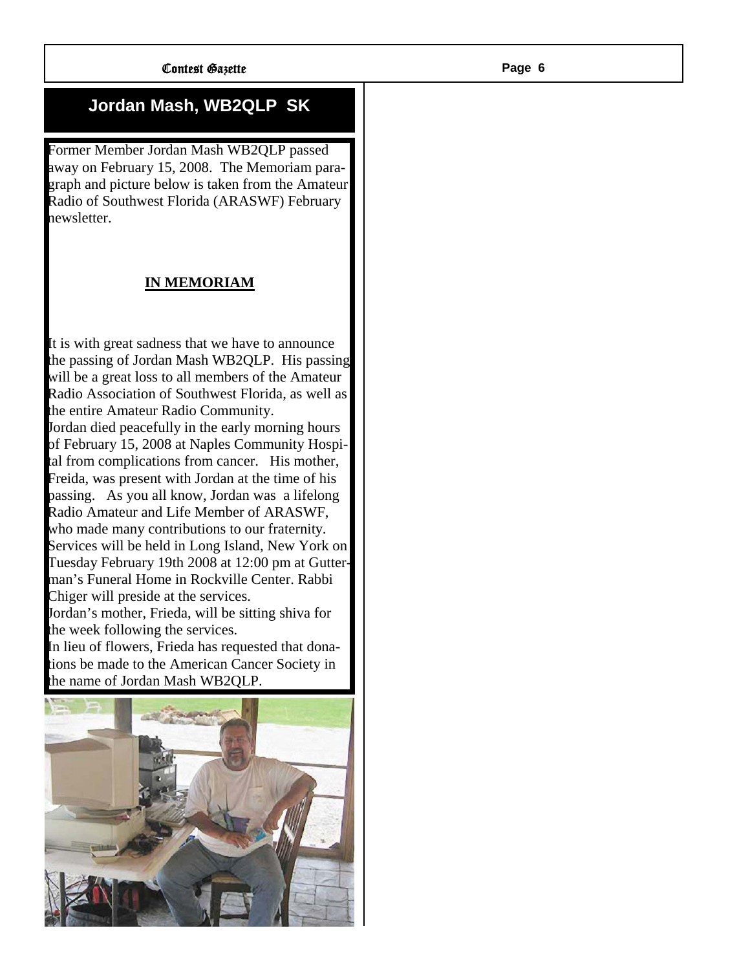## **Jordan Mash, WB2QLP SK**

Former Member Jordan Mash WB2QLP passed away on February 15, 2008. The Memoriam paragraph and picture below is taken from the Amateur Radio of Southwest Florida (ARASWF) February newsletter.

#### **IN MEMORIAM**

It is with great sadness that we have to announce the passing of Jordan Mash WB2QLP. His passing will be a great loss to all members of the Amateur Radio Association of Southwest Florida, as well as the entire Amateur Radio Community. Jordan died peacefully in the early morning hours of February 15, 2008 at Naples Community Hospital from complications from cancer. His mother, Freida, was present with Jordan at the time of his passing. As you all know, Jordan was a lifelong Radio Amateur and Life Member of ARASWF, who made many contributions to our fraternity. Services will be held in Long Island, New York on Tuesday February 19th 2008 at 12:00 pm at Gutterman's Funeral Home in Rockville Center. Rabbi Chiger will preside at the services.

Jordan's mother, Frieda, will be sitting shiva for the week following the services.

In lieu of flowers, Frieda has requested that donations be made to the American Cancer Society in the name of Jordan Mash WB2QLP.

![](_page_5_Picture_7.jpeg)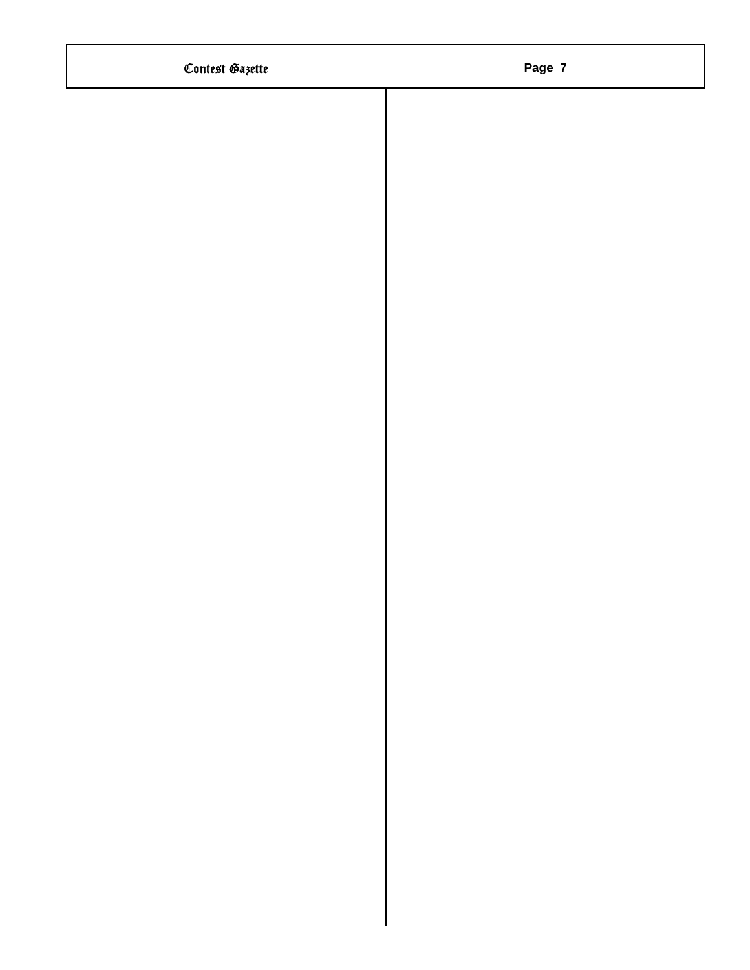| Contest Ga3ette | Page 7 |
|-----------------|--------|
|                 |        |
|                 |        |
|                 |        |
|                 |        |
|                 |        |
|                 |        |
|                 |        |
|                 |        |
|                 |        |
|                 |        |
|                 |        |
|                 |        |
|                 |        |
|                 |        |
|                 |        |
|                 |        |
|                 |        |
|                 |        |
|                 |        |
|                 |        |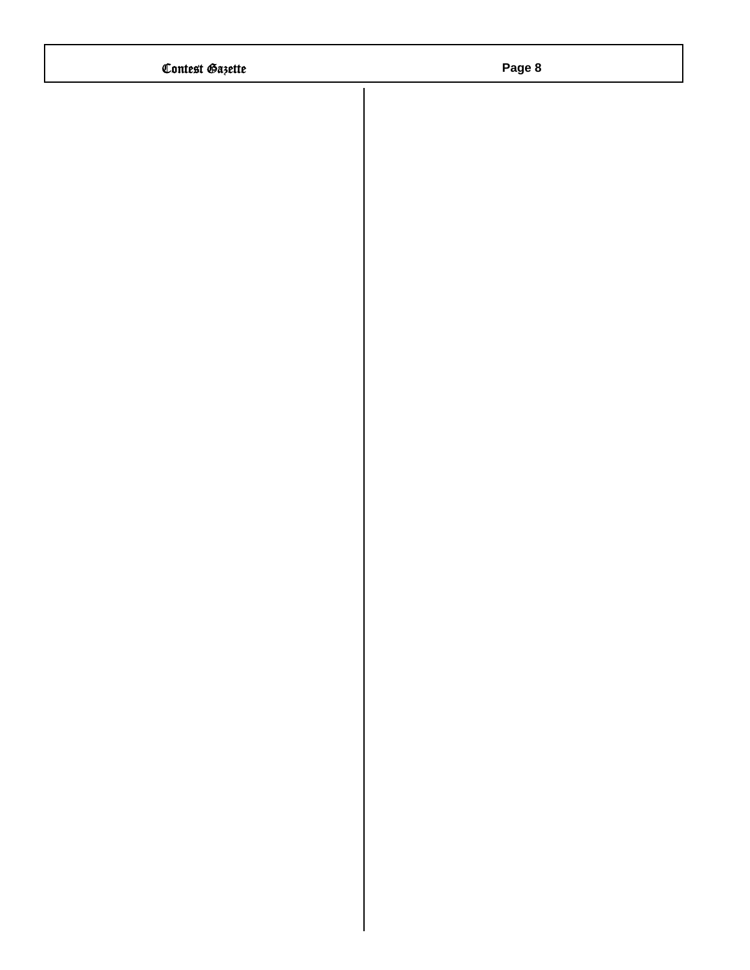#### Contest Gazette **Contest Gazette** Contest Gazette **Page 8**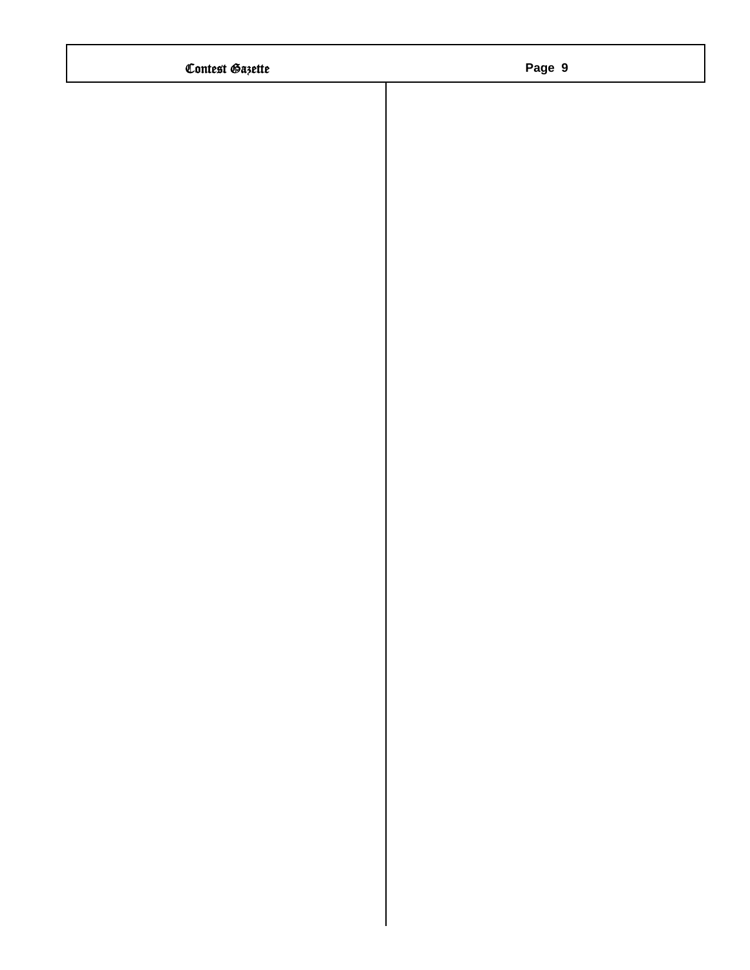| Contest Gazette | Page 9 |
|-----------------|--------|
|                 |        |
|                 |        |
|                 |        |
|                 |        |
|                 |        |
|                 |        |
|                 |        |
|                 |        |
|                 |        |
|                 |        |
|                 |        |
|                 |        |
|                 |        |
|                 |        |
|                 |        |
|                 |        |
|                 |        |
|                 |        |
|                 |        |
|                 |        |
|                 |        |
|                 |        |
|                 |        |
|                 |        |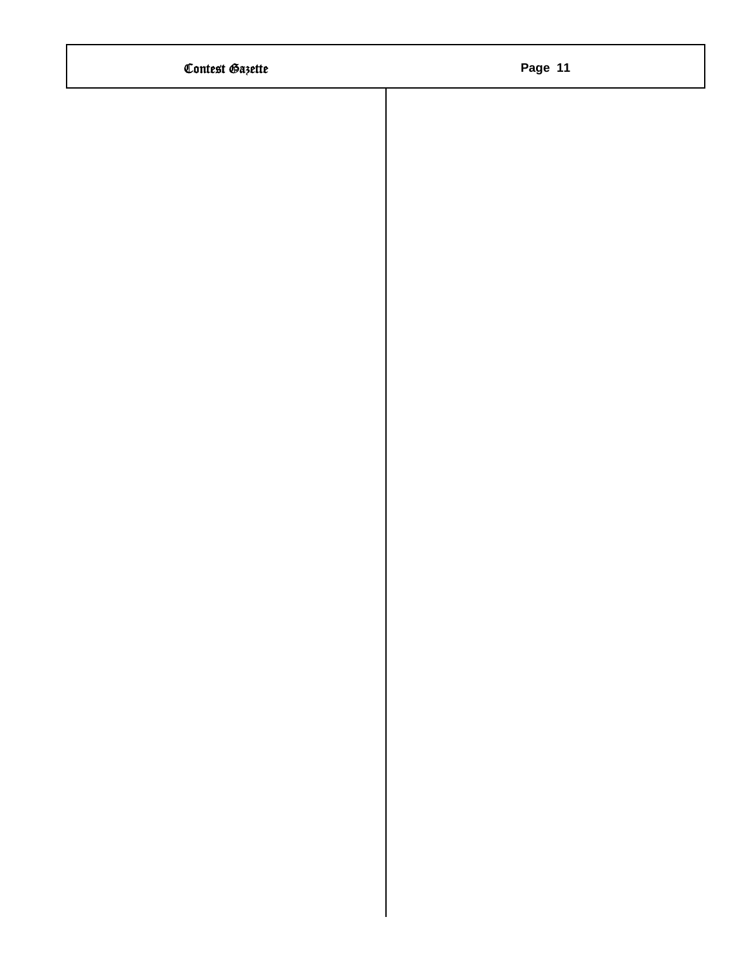| Contest Gazette | Page 11 |
|-----------------|---------|
|                 |         |
|                 |         |
|                 |         |
|                 |         |
|                 |         |
|                 |         |
|                 |         |
|                 |         |
|                 |         |
|                 |         |
|                 |         |
|                 |         |
|                 |         |
|                 |         |
|                 |         |
|                 |         |
|                 |         |
|                 |         |
|                 |         |
|                 |         |
|                 |         |
|                 |         |